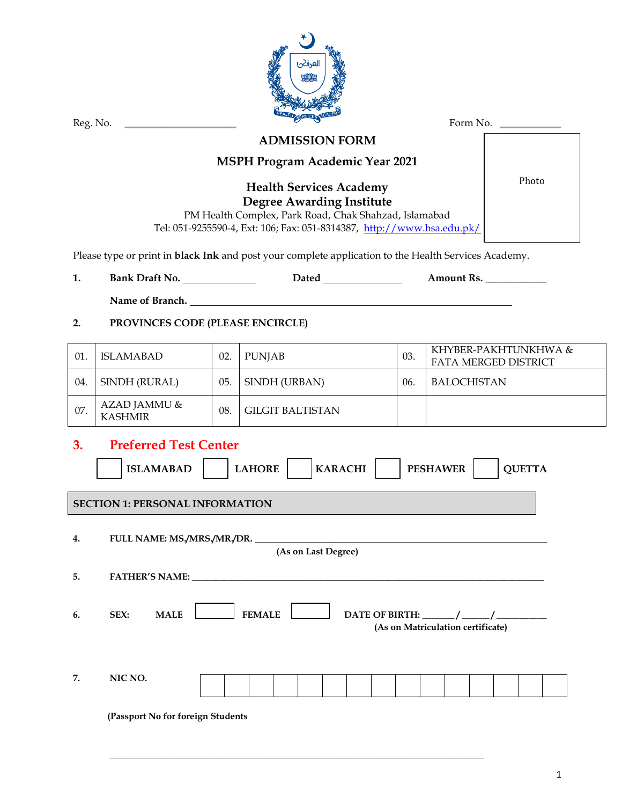|                           | لعرفض<br>$\alpha\alpha$<br>Form No.<br>Reg. No.                                                                     |     |                                                                                                                                                                                                       |     |                                              |  |  |  |
|---------------------------|---------------------------------------------------------------------------------------------------------------------|-----|-------------------------------------------------------------------------------------------------------------------------------------------------------------------------------------------------------|-----|----------------------------------------------|--|--|--|
|                           |                                                                                                                     |     | <b>ADMISSION FORM</b>                                                                                                                                                                                 |     |                                              |  |  |  |
|                           |                                                                                                                     |     | <b>MSPH Program Academic Year 2021</b>                                                                                                                                                                |     |                                              |  |  |  |
|                           |                                                                                                                     |     | <b>Health Services Academy</b><br><b>Degree Awarding Institute</b><br>PM Health Complex, Park Road, Chak Shahzad, Islamabad<br>Tel: 051-9255590-4, Ext: 106; Fax: 051-8314387, http://www.hsa.edu.pk/ |     | Photo                                        |  |  |  |
|                           |                                                                                                                     |     | Please type or print in <b>black Ink</b> and post your complete application to the Health Services Academy.                                                                                           |     |                                              |  |  |  |
| 1.                        |                                                                                                                     |     | <b>Dated Exercise 2020</b>                                                                                                                                                                            |     | Amount Rs.                                   |  |  |  |
|                           |                                                                                                                     |     | Name of Branch. Name of Branch.                                                                                                                                                                       |     |                                              |  |  |  |
| 2.                        | PROVINCES CODE (PLEASE ENCIRCLE)                                                                                    |     |                                                                                                                                                                                                       |     |                                              |  |  |  |
| 01.                       | <b>ISLAMABAD</b>                                                                                                    | 02. | <b>PUNJAB</b>                                                                                                                                                                                         | 03. | KHYBER-PAKHTUNKHWA &<br>FATA MERGED DISTRICT |  |  |  |
| 04.                       | SINDH (RURAL)                                                                                                       | 05. | SINDH (URBAN)                                                                                                                                                                                         | 06. | <b>BALOCHISTAN</b>                           |  |  |  |
| 07.                       | AZAD JAMMU &<br><b>KASHMIR</b>                                                                                      | 08. | <b>GILGIT BALTISTAN</b>                                                                                                                                                                               |     |                                              |  |  |  |
| 3.                        | <b>Preferred Test Center</b>                                                                                        |     |                                                                                                                                                                                                       |     |                                              |  |  |  |
|                           | <b>ISLAMABAD</b>                                                                                                    |     | <b>LAHORE</b><br><b>KARACHI</b>                                                                                                                                                                       |     | <b>PESHAWER</b><br><b>QUETTA</b>             |  |  |  |
|                           | <b>SECTION 1: PERSONAL INFORMATION</b>                                                                              |     |                                                                                                                                                                                                       |     |                                              |  |  |  |
| 4.<br>(As on Last Degree) |                                                                                                                     |     |                                                                                                                                                                                                       |     |                                              |  |  |  |
| 5.                        |                                                                                                                     |     |                                                                                                                                                                                                       |     |                                              |  |  |  |
| 6.                        | SEX:<br><b>MALE</b><br><b>FEMALE</b><br>DATE OF BIRTH: $\frac{1}{\frac{1}{2}}$<br>(As on Matriculation certificate) |     |                                                                                                                                                                                                       |     |                                              |  |  |  |
| 7.                        | NIC NO.                                                                                                             |     |                                                                                                                                                                                                       |     |                                              |  |  |  |
|                           | (Passport No for foreign Students                                                                                   |     |                                                                                                                                                                                                       |     |                                              |  |  |  |

**\_\_\_\_\_\_\_\_\_\_\_\_\_\_\_\_\_\_\_\_\_\_\_\_\_\_\_\_\_\_\_\_\_\_\_\_\_\_\_\_\_\_\_\_\_\_\_\_\_\_\_\_\_\_\_\_\_\_\_\_\_\_\_\_\_\_\_\_\_\_\_\_\_\_\_\_\_\_\_\_\_\_**

1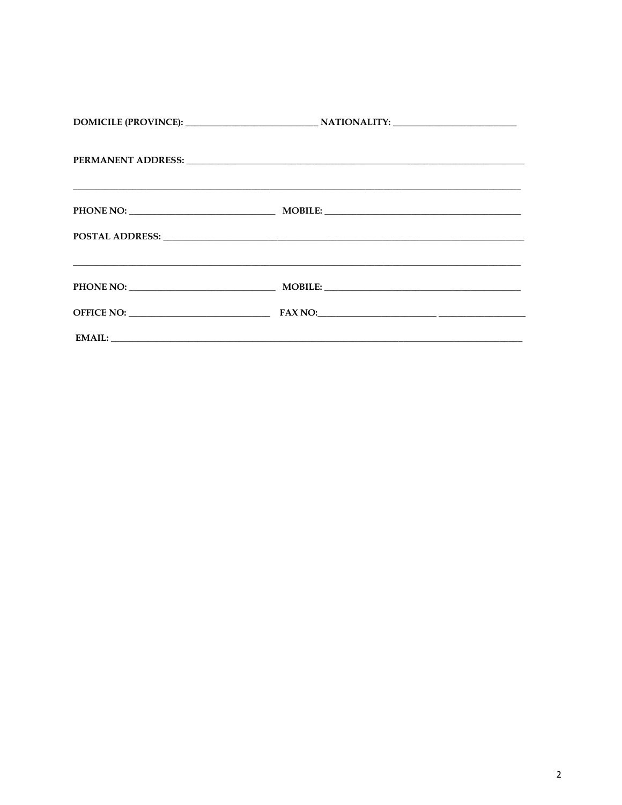|            | PERMANENT ADDRESS: Land and the contract of the contract of the contract of the contract of the contract of the contract of the contract of the contract of the contract of the contract of the contract of the contract of th |  |
|------------|--------------------------------------------------------------------------------------------------------------------------------------------------------------------------------------------------------------------------------|--|
|            |                                                                                                                                                                                                                                |  |
|            |                                                                                                                                                                                                                                |  |
|            | <u> 1980 - Andrea San Andrea San Andrea San Andrea San Andrea San Andrea San Andrea San Andrea San Andrea San An</u>                                                                                                           |  |
| OFFICE NO: | $FAX NO:\underline{\hspace{2.5cm}1.5cm}$                                                                                                                                                                                       |  |
|            | EMAIL: NAMEL CONTROL CONTROL CONTROL CONTROL CONTROL CONTROL CONTROL CONTROL CONTROL CONTROL CONTROL CONTROL CONTROL CONTROL CONTROL CONTROL CONTROL CONTROL CONTROL CONTROL CONTROL CONTROL CONTROL CONTROL CONTROL CONTROL C |  |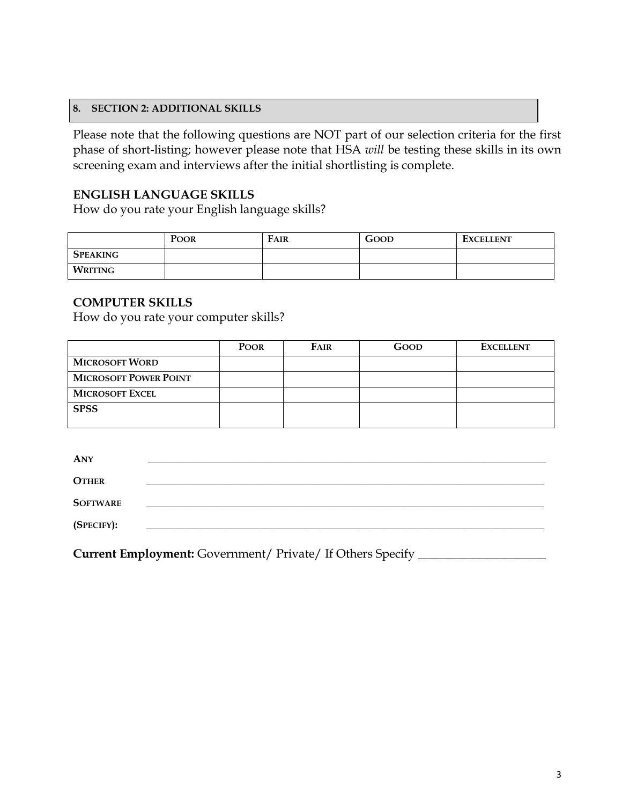### **8. SECTION 2: ADDITIONAL SKILLS**

Please note that the following questions are NOT part of our selection criteria for the first phase of short-listing; however please note that HSA *will* be testing these skills in its own screening exam and interviews after the initial shortlisting is complete.

# **ENGLISH LANGUAGE SKILLS**

How do you rate your English language skills?

|                 | <b>POOR</b> | FAIR | GOOD | <b>EXCELLENT</b> |
|-----------------|-------------|------|------|------------------|
| <b>SPEAKING</b> |             |      |      |                  |
| WRITING         |             |      |      |                  |

# **COMPUTER SKILLS**

How do you rate your computer skills?

|                              | <b>POOR</b> | <b>FAIR</b> | GOOD | <b>EXCELLENT</b> |
|------------------------------|-------------|-------------|------|------------------|
| <b>MICROSOFT WORD</b>        |             |             |      |                  |
| <b>MICROSOFT POWER POINT</b> |             |             |      |                  |
| <b>MICROSOFT EXCEL</b>       |             |             |      |                  |
| <b>SPSS</b>                  |             |             |      |                  |
|                              |             |             |      |                  |

| <b>ANY</b>      |  |
|-----------------|--|
| <b>OTHER</b>    |  |
| <b>SOFTWARE</b> |  |
| (SPECIFY):      |  |
|                 |  |

**Current Employment:** Government/ Private/ If Others Specify \_\_\_\_\_\_\_\_\_\_\_\_\_\_\_\_\_\_\_\_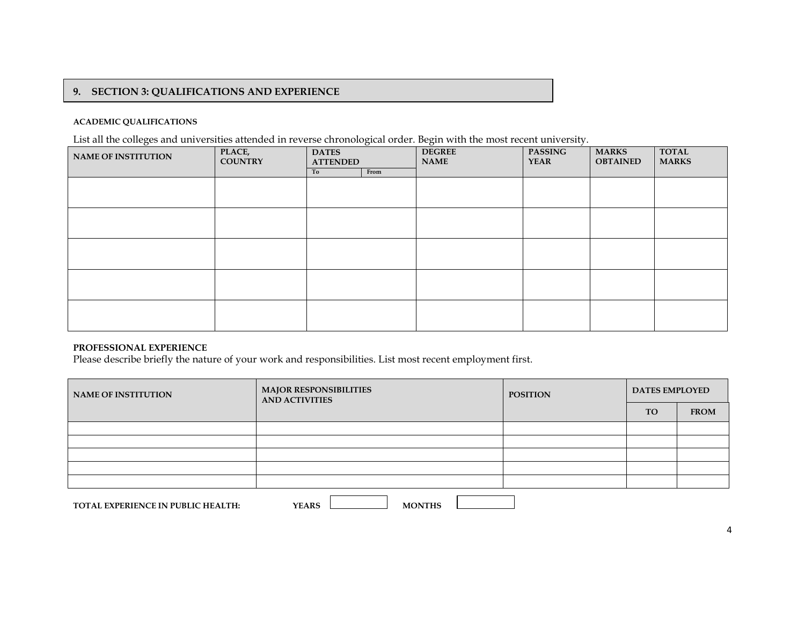### **9. SECTION 3: QUALIFICATIONS AND EXPERIENCE**

#### **ACADEMIC QUALIFICATIONS**

List all the colleges and universities attended in reverse chronological order. Begin with the most recent university.

 $\overline{a}$ 

| <b>NAME OF INSTITUTION</b> | PLACE,<br><b>COUNTRY</b> | <b>DATES</b><br><b>ATTENDED</b> |      | <b>DEGREE</b><br><b>NAME</b> | <b>PASSING</b><br><b>YEAR</b> | <b>MARKS</b><br><b>OBTAINED</b> | <b>TOTAL</b><br><b>MARKS</b> |
|----------------------------|--------------------------|---------------------------------|------|------------------------------|-------------------------------|---------------------------------|------------------------------|
|                            |                          | To                              | From |                              |                               |                                 |                              |
|                            |                          |                                 |      |                              |                               |                                 |                              |
|                            |                          |                                 |      |                              |                               |                                 |                              |
|                            |                          |                                 |      |                              |                               |                                 |                              |
|                            |                          |                                 |      |                              |                               |                                 |                              |
|                            |                          |                                 |      |                              |                               |                                 |                              |
|                            |                          |                                 |      |                              |                               |                                 |                              |
|                            |                          |                                 |      |                              |                               |                                 |                              |
|                            |                          |                                 |      |                              |                               |                                 |                              |
|                            |                          |                                 |      |                              |                               |                                 |                              |
|                            |                          |                                 |      |                              |                               |                                 |                              |

### **PROFESSIONAL EXPERIENCE**

Please describe briefly the nature of your work and responsibilities. List most recent employment first.

| <b>NAME OF INSTITUTION</b> | <b>MAJOR RESPONSIBILITIES</b><br><b>AND ACTIVITIES</b> | <b>POSITION</b> | <b>DATES EMPLOYED</b> |             |  |
|----------------------------|--------------------------------------------------------|-----------------|-----------------------|-------------|--|
|                            |                                                        |                 | <b>TO</b>             | <b>FROM</b> |  |
|                            |                                                        |                 |                       |             |  |
|                            |                                                        |                 |                       |             |  |
|                            |                                                        |                 |                       |             |  |
|                            |                                                        |                 |                       |             |  |
|                            |                                                        |                 |                       |             |  |
|                            |                                                        |                 |                       |             |  |

**TOTAL EXPERIENCE IN PUBLIC HEALTH: YEARS MONTHS MONTHS**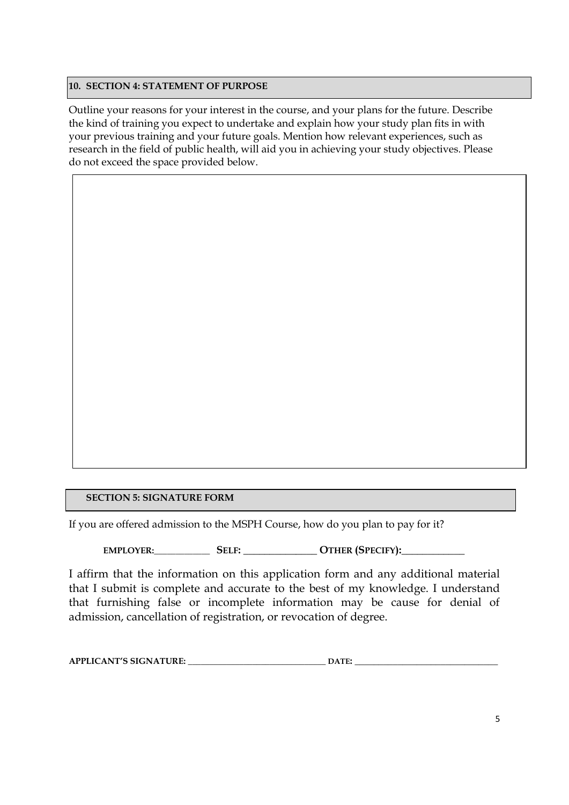## **10. SECTION 4: STATEMENT OF PURPOSE**

Outline your reasons for your interest in the course, and your plans for the future. Describe the kind of training you expect to undertake and explain how your study plan fits in with your previous training and your future goals. Mention how relevant experiences, such as research in the field of public health, will aid you in achieving your study objectives. Please do not exceed the space provided below.

 $\overline{a}$ 

# **SECTION 5: SIGNATURE FORM**

If you are offered admission to the MSPH Course, how do you plan to pay for it?

**EMPLOYER:\_\_\_\_\_\_\_\_\_\_\_\_\_ SELF: \_\_\_\_\_\_\_\_\_\_\_\_\_\_ OTHER (SPECIFY):\_\_\_\_\_\_\_\_\_\_\_\_**

I affirm that the information on this application form and any additional material that I submit is complete and accurate to the best of my knowledge. I understand that furnishing false or incomplete information may be cause for denial of admission, cancellation of registration, or revocation of degree.

| <b>APPLICANT'S SIGNATURE:</b> | A TE |  |
|-------------------------------|------|--|
|-------------------------------|------|--|